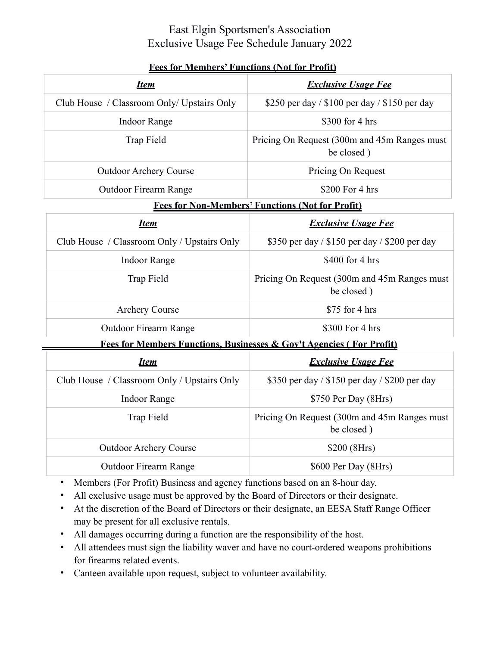## East Elgin Sportsmen's Association Exclusive Usage Fee Schedule January 2022

| <u>Item</u>                                                                     | <b>Exclusive Usage Fee</b>                                 |
|---------------------------------------------------------------------------------|------------------------------------------------------------|
| Club House / Classroom Only/ Upstairs Only                                      | \$250 per day / \$100 per day / \$150 per day              |
| <b>Indoor Range</b>                                                             | \$300 for 4 hrs                                            |
| Trap Field                                                                      | Pricing On Request (300m and 45m Ranges must<br>be closed) |
| <b>Outdoor Archery Course</b>                                                   | Pricing On Request                                         |
| <b>Outdoor Firearm Range</b>                                                    | \$200 For 4 hrs                                            |
| <b>Fees for Non-Members' Functions (Not for Profit)</b>                         |                                                            |
| <u>Item</u>                                                                     | <b>Exclusive Usage Fee</b>                                 |
| Club House / Classroom Only / Upstairs Only                                     | \$350 per day / \$150 per day / \$200 per day              |
| <b>Indoor Range</b>                                                             | \$400 for 4 hrs                                            |
| Trap Field                                                                      | Pricing On Request (300m and 45m Ranges must<br>be closed) |
| <b>Archery Course</b>                                                           | \$75 for 4 hrs                                             |
| <b>Outdoor Firearm Range</b>                                                    | \$300 For 4 hrs                                            |
| <b>Fees for Members Functions, Businesses &amp; Gov't Agencies (For Profit)</b> |                                                            |
| <u>Item</u>                                                                     | <b>Exclusive Usage Fee</b>                                 |
| Club House / Classroom Only / Upstairs Only                                     | \$350 per day / \$150 per day / \$200 per day              |
| <b>Indoor Range</b>                                                             | \$750 Per Day (8Hrs)                                       |
| Trap Field                                                                      | Pricing On Request (300m and 45m Ranges must<br>be closed) |
| <b>Outdoor Archery Course</b>                                                   | \$200 (8Hrs)                                               |
| <b>Outdoor Firearm Range</b>                                                    | \$600 Per Day (8Hrs)                                       |

## **Fees for Members' Functions (Not for Profit)**

- Members (For Profit) Business and agency functions based on an 8-hour day.
- All exclusive usage must be approved by the Board of Directors or their designate.
- At the discretion of the Board of Directors or their designate, an EESA Staff Range Officer may be present for all exclusive rentals.
- All damages occurring during a function are the responsibility of the host.
- All attendees must sign the liability waver and have no court-ordered weapons prohibitions for firearms related events.
- Canteen available upon request, subject to volunteer availability.

ċ